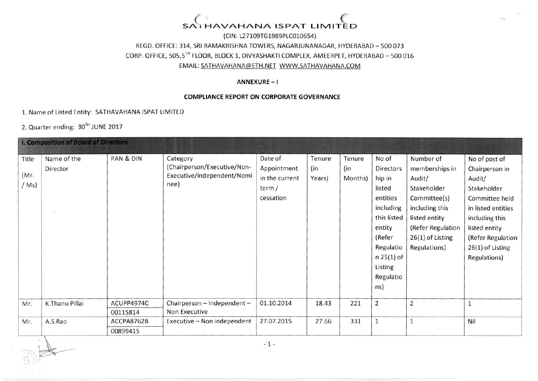### SATHAVAHANA ISPAT LIMITED

(ClN: 127109TG1989P1C010654) REGD. OFFICE: 314, SRI RAMAKRISHNA TOWERS, NAGARJUNANAGAR, HYDERABAD - 500 073 CORP. OFFICE, 505,5TH FLOOR, BLOCK 1, DIVYASHAKTI COMPLEX, AMEERPET, HYDERABAD - 500 016 EMAIL: SATHAVAHANA@ETH.NET\_WWW.SATHAVAHANA.COM

#### ANNEXURE - <sup>I</sup>

#### COMPLIANCE REPORT ON CORPORATE GOVERNANCE

1. Name of Listed Entity: SATHAVAHANA ISPAT LIMITED

2. Quarter ending: 30TH JUNE 2017

 $\Rightarrow$ 

| <b>I. Composition of Board of Directors</b> |                         |                        |                                                                               |                                                                 |                         |                          |                                                                                                                                                                |                                                                                                                                                                  |                                                                                                                                                                                              |
|---------------------------------------------|-------------------------|------------------------|-------------------------------------------------------------------------------|-----------------------------------------------------------------|-------------------------|--------------------------|----------------------------------------------------------------------------------------------------------------------------------------------------------------|------------------------------------------------------------------------------------------------------------------------------------------------------------------|----------------------------------------------------------------------------------------------------------------------------------------------------------------------------------------------|
| Title<br>(Mr)<br>(Ms)                       | Name of the<br>Director | PAN & DIN              | Category<br>(Chairperson/Executive/Non-<br>Executive/independent/Nomi<br>nee) | Date of<br>Appointment<br>in the current<br>term /<br>cessation | Tenure<br>(in<br>Years) | Tenure<br>(in<br>Months) | No of<br>Directors<br>hip in<br>listed<br>entities<br>including<br>this listed<br>entity<br>(Refer<br>Regulatio<br>$n 25(1)$ of<br>Listing<br>Regulatio<br>ns) | Number of<br>memberships in<br>Audit/<br>Stakeholder<br>Committee(s)<br>including this<br>listed entity<br>(Refer Regulation<br>26(1) of Listing<br>Regulations) | No of post of<br>Chairperson in<br>Audit/<br>Stakeholder<br>Committee held<br>in listed entities<br>including this<br>listed entity<br>(Refer Regulation<br>26(1) of Listing<br>Regulations) |
| Mr.                                         | K.Thanu Pillai          | ACUPP4974C<br>00115814 | Chairperson - Independent -<br>Non Executive                                  | 01.10.2014                                                      | 18.43                   | 221                      | $\overline{2}$                                                                                                                                                 | $\overline{2}$                                                                                                                                                   |                                                                                                                                                                                              |
| Mr.                                         | A.S.Rao                 | ACCPA8762B<br>00899415 | Executive - Non independent                                                   | 27.07.2015                                                      | 27.66                   | 331                      | $\mathbf{1}$                                                                                                                                                   | $\mathbf{1}$                                                                                                                                                     | Nil                                                                                                                                                                                          |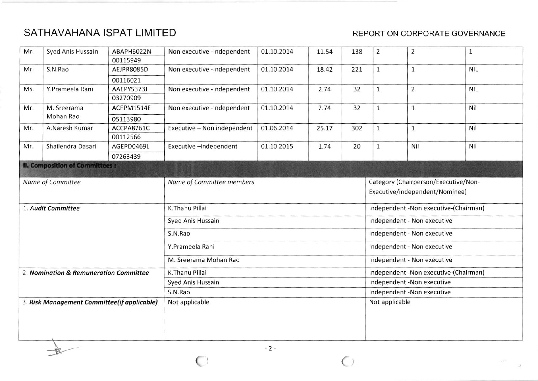## SATHAVAHANA ISPAT LIMITED SATHAVAHANA ISPAT LIMITED

. p. 9

| Mr.                                    | Syed Anis Hussain                           | ABAPH6022N | Non executive -Independent  | 01.10.2014                  | 11.54 | 138                                  | $\overline{2}$                        | $\overline{2}$ | $\mathbf 1$ |  |
|----------------------------------------|---------------------------------------------|------------|-----------------------------|-----------------------------|-------|--------------------------------------|---------------------------------------|----------------|-------------|--|
|                                        |                                             | 00115949   |                             |                             |       |                                      |                                       |                |             |  |
| Mr.                                    | S.N.Rao                                     | AEJPR8085D | Non executive -Independent  | 01.10.2014                  | 18.42 | 221                                  | $\mathbf{1}$                          | $\mathbf{1}$   | <b>NIL</b>  |  |
|                                        |                                             | 00116021   |                             |                             |       |                                      |                                       |                |             |  |
| Ms.                                    | Y.Prameela Rani                             | AAEPY5373J | Non executive -Independent  | 01.10.2014                  | 2.74  | 32                                   | $\mathbf{1}$                          | $\overline{2}$ | <b>NIL</b>  |  |
|                                        |                                             | 03270909   |                             |                             |       |                                      |                                       |                |             |  |
| Mr.                                    | M. Sreerama                                 | ACEPM1514F | Non executive -Independent  | 01.10.2014                  | 2.74  | 32                                   | $\mathbf{1}$                          | $\mathbf 1$    | Nil         |  |
|                                        | Mohan Rao                                   | 05113980   |                             |                             |       |                                      |                                       |                |             |  |
| Mr.                                    | A.Naresh Kumar                              | ACCPA8761C | Executive - Non independent | 01.06.2014                  | 25.17 | 302                                  | $\mathbf 1$                           | $\mathbf{1}$   | Nil         |  |
|                                        |                                             | 00112566   |                             |                             |       |                                      |                                       |                |             |  |
| Mr.                                    | Shailendra Dasari                           | AGEPD0469L | Executive-independent       | 01.10.2015                  | 1.74  | 20                                   | 1                                     | Nil            | Nil         |  |
|                                        |                                             | 07263439   |                             |                             |       |                                      |                                       |                |             |  |
|                                        | <b>II. Composition of Committees:</b>       |            |                             |                             |       |                                      |                                       |                |             |  |
|                                        | Name of Committee                           |            | Name of Committee members   |                             |       | Category (Chairperson/Executive/Non- |                                       |                |             |  |
|                                        |                                             |            |                             |                             |       |                                      | Executive/independent/Nominee)        |                |             |  |
|                                        |                                             |            |                             |                             |       |                                      |                                       |                |             |  |
|                                        |                                             |            | Syed Anis Hussain           | Independent - Non executive |       |                                      |                                       |                |             |  |
|                                        |                                             |            | S.N.Rao                     | Independent - Non executive |       |                                      |                                       |                |             |  |
|                                        |                                             |            | Y.Prameela Rani             | Independent - Non executive |       |                                      |                                       |                |             |  |
|                                        |                                             |            | M. Sreerama Mohan Rao       |                             |       |                                      | Independent - Non executive           |                |             |  |
| 2. Nomination & Remuneration Committee |                                             |            | K.Thanu Pillai              |                             |       |                                      | Independent -Non executive-(Chairman) |                |             |  |
|                                        |                                             |            | Syed Anis Hussain           |                             |       |                                      | Independent -Non executive            |                |             |  |
|                                        |                                             |            | S.N.Rao                     |                             |       |                                      | Independent -Non executive            |                |             |  |
|                                        | 3. Risk Management Committee(if applicable) |            | Not applicable              |                             |       |                                      | Not applicable                        |                |             |  |
|                                        |                                             |            |                             |                             |       |                                      |                                       |                |             |  |
|                                        |                                             |            |                             |                             |       |                                      |                                       |                |             |  |
|                                        |                                             |            |                             |                             |       |                                      |                                       |                |             |  |
|                                        |                                             |            |                             |                             |       |                                      |                                       |                |             |  |

 $\bigcirc$ 

 $\bigcirc$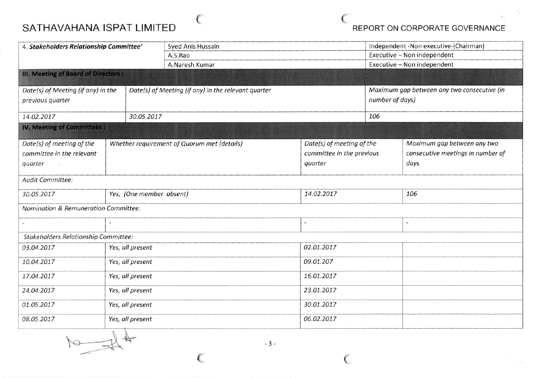# SATHAVAHANA ISPAT LIMITED CONCRETE CONFORT ON CORPORATE GOVERNANCE

| 4. Stakeholders Relationship Committee'         |                                             |            | Syed Anis Hussain                                   |            |                           | Independent -Non executive-(Chairman)       |                                   |  |  |
|-------------------------------------------------|---------------------------------------------|------------|-----------------------------------------------------|------------|---------------------------|---------------------------------------------|-----------------------------------|--|--|
|                                                 |                                             |            | A.S.Rao                                             |            |                           | Executive - Non independent                 |                                   |  |  |
|                                                 |                                             |            | A.Naresh Kumar                                      |            |                           |                                             | Executive - Non independent       |  |  |
| III. Meeting of Board of Directors:             |                                             |            |                                                     |            |                           |                                             |                                   |  |  |
| Date(s) of Meeting (if any) in the              |                                             |            | Date(s) of Meeting (if any) in the relevant quarter |            |                           | Maximum gap between any two consecutive (in |                                   |  |  |
| previous quarter                                |                                             |            |                                                     |            | number of days)           |                                             |                                   |  |  |
| 14.02.2017                                      |                                             | 30.05.2017 |                                                     |            | 106                       |                                             |                                   |  |  |
| <b>IV. Meeting of Committees:</b>               |                                             |            |                                                     |            |                           |                                             |                                   |  |  |
| Date(s) of meeting of the                       | Whether requirement of Quorum met (details) |            |                                                     |            | Date(s) of meeting of the |                                             | Maximum gap between any two       |  |  |
| committee in the relevant                       |                                             |            |                                                     |            | committee in the previous |                                             | consecutive meetings in number of |  |  |
| quarter                                         |                                             |            |                                                     |            | quarter                   |                                             | days                              |  |  |
| Audit Committee:                                |                                             |            |                                                     |            |                           |                                             |                                   |  |  |
| Yes, (One member absent)<br>30.05.2017          |                                             |            | 14.02.2017                                          |            |                           | 106                                         |                                   |  |  |
| <b>Nomination &amp; Remuneration Committee:</b> |                                             |            |                                                     |            |                           |                                             |                                   |  |  |
|                                                 |                                             |            |                                                     |            |                           |                                             |                                   |  |  |
| <b>Stakeholders Relationship Committee:</b>     |                                             |            |                                                     |            |                           |                                             |                                   |  |  |
| 03.04.2017                                      | Yes, all present                            |            |                                                     | 02.01.2017 |                           |                                             |                                   |  |  |
| 10.04.2017                                      | Yes, all present                            |            |                                                     |            | 09.01.207                 |                                             |                                   |  |  |
| Yes, all present<br>17.04.2017                  |                                             |            |                                                     | 16.01.2017 |                           |                                             |                                   |  |  |
| Yes, all present<br>24.04.2017                  |                                             |            |                                                     | 23.01.2017 |                           |                                             |                                   |  |  |
| Yes, all present<br>01.05.2017                  |                                             |            |                                                     |            | 30.01.2017                |                                             |                                   |  |  |
| 08.05.2017<br>Yes, all present                  |                                             |            |                                                     | 06.02.2017 |                           |                                             |                                   |  |  |

 $\sim$  (

 $10 - 44$ 

 $-3-$ 

 $\epsilon$  (